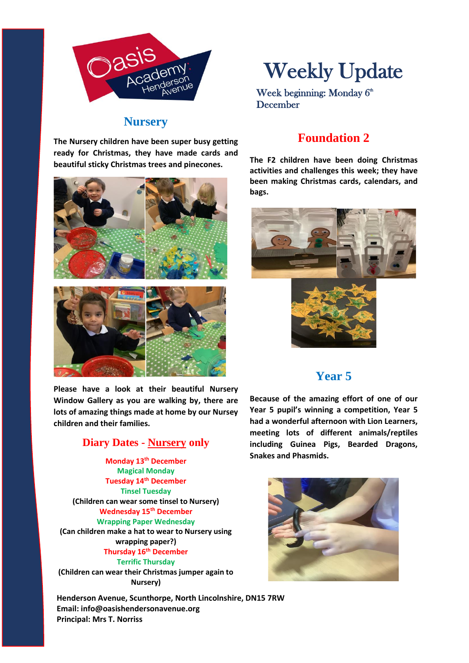

### **Nursery**

**The Nursery children have been super busy getting ready for Christmas, they have made cards and beautiful sticky Christmas trees and pinecones.**



**Please have a look at their beautiful Nursery Window Gallery as you are walking by, there are lots of amazing things made at home by our Nursey children and their families.**

### **Diary Dates - Nursery only**

**Monday 13th December Magical Monday Tuesday 14th December Tinsel Tuesday (Children can wear some tinsel to Nursery) Wednesday 15th December Wrapping Paper Wednesday (Can children make a hat to wear to Nursery using wrapping paper?) Thursday 16th December Terrific Thursday** 

**(Children can wear their Christmas jumper again to Nursery)**

**Henderson Avenue, Scunthorpe, North Lincolnshire, DN15 7RW Email: info@oasishendersonavenue.org Principal: Mrs T. Norriss**

# Weekly Update

Week beginning: Monday  $6<sup>th</sup>$ December

# **Foundation 2**

**The F2 children have been doing Christmas activities and challenges this week; they have been making Christmas cards, calendars, and bags.**





## **Year 5**

**Because of the amazing effort of one of our Year 5 pupil's winning a competition, Year 5 had a wonderful afternoon with Lion Learners, meeting lots of different animals/reptiles including Guinea Pigs, Bearded Dragons, Snakes and Phasmids.**